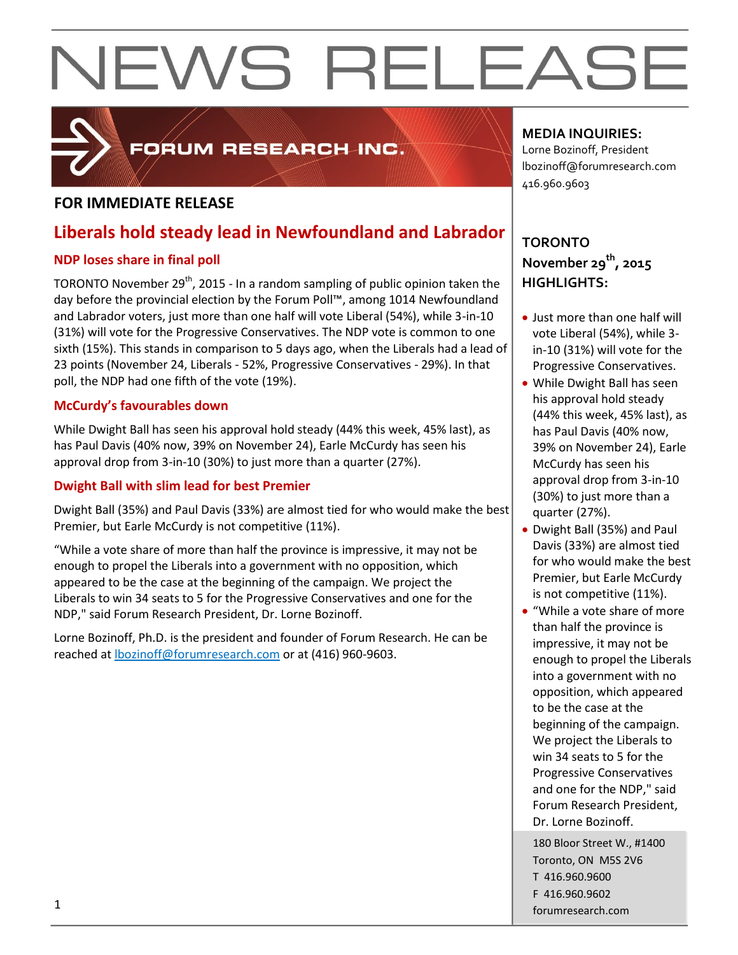

### FORUM RESEARCH INC.

#### **FOR IMMEDIATE RELEASE**

### **Liberals hold steady lead in Newfoundland and Labrador**

#### **NDP loses share in final poll**

TORONTO November 29<sup>th</sup>, 2015 - In a random sampling of public opinion taken the day before the provincial election by the Forum Poll™, among 1014 Newfoundland and Labrador voters, just more than one half will vote Liberal (54%), while 3-in-10 (31%) will vote for the Progressive Conservatives. The NDP vote is common to one sixth (15%). This stands in comparison to 5 days ago, when the Liberals had a lead of 23 points (November 24, Liberals - 52%, Progressive Conservatives - 29%). In that poll, the NDP had one fifth of the vote (19%).

#### **McCurdy's favourables down**

While Dwight Ball has seen his approval hold steady (44% this week, 45% last), as has Paul Davis (40% now, 39% on November 24), Earle McCurdy has seen his approval drop from 3-in-10 (30%) to just more than a quarter (27%).

#### **Dwight Ball with slim lead for best Premier**

Dwight Ball (35%) and Paul Davis (33%) are almost tied for who would make the best Premier, but Earle McCurdy is not competitive (11%).

"While a vote share of more than half the province is impressive, it may not be enough to propel the Liberals into a government with no opposition, which appeared to be the case at the beginning of the campaign. We project the Liberals to win 34 seats to 5 for the Progressive Conservatives and one for the NDP," said Forum Research President, Dr. Lorne Bozinoff.

Lorne Bozinoff, Ph.D. is the president and founder of Forum Research. He can be reached at [lbozinoff@forumresearch.com](mailto:lbozinoff@forumresearch.com) or at (416) 960-9603.

#### **MEDIA INQUIRIES:**

Lorne Bozinoff, President lbozinoff@forumresearch.com 416.960.9603

### **TORONTO November 29th, 2015 HIGHLIGHTS:**

- Just more than one half will vote Liberal (54%), while 3 in-10 (31%) will vote for the Progressive Conservatives.
- While Dwight Ball has seen his approval hold steady (44% this week, 45% last), as has Paul Davis (40% now, 39% on November 24), Earle McCurdy has seen his approval drop from 3-in-10 (30%) to just more than a quarter (27%).
- Dwight Ball (35%) and Paul Davis (33%) are almost tied for who would make the best Premier, but Earle McCurdy is not competitive (11%).
- "While a vote share of more than half the province is impressive, it may not be enough to propel the Liberals into a government with no opposition, which appeared to be the case at the beginning of the campaign. We project the Liberals to win 34 seats to 5 for the Progressive Conservatives and one for the NDP," said Forum Research President, Dr. Lorne Bozinoff.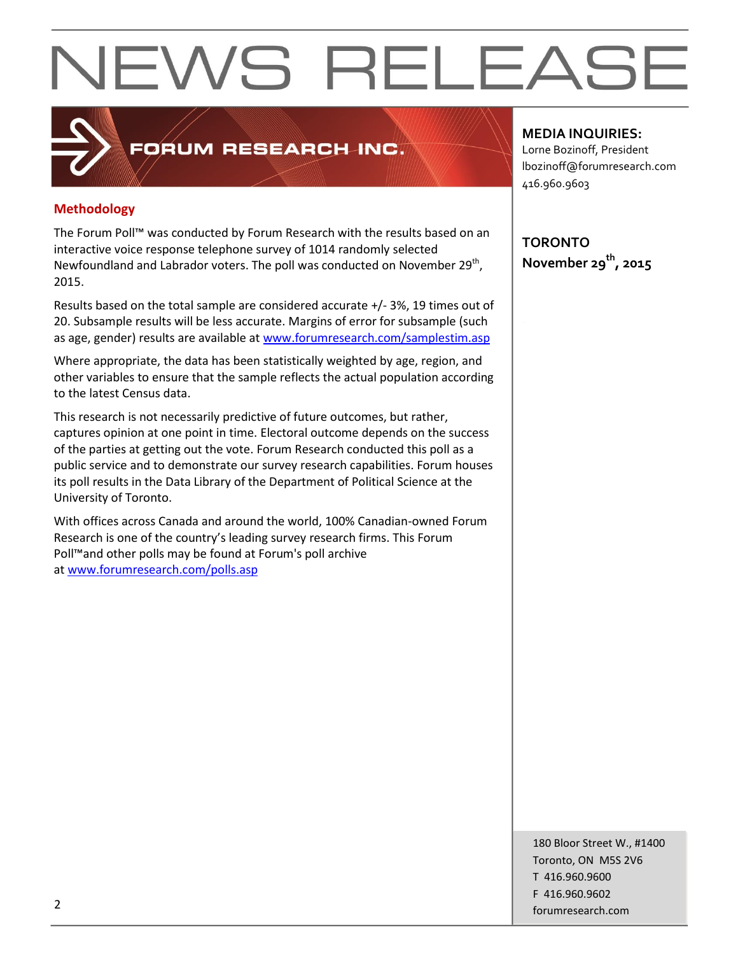#### **Methodology**

The Forum Poll™ was conducted by Forum Research with the results based on an interactive voice response telephone survey of 1014 randomly selected Newfoundland and Labrador voters. The poll was conducted on November 29<sup>th</sup>, 2015.

FORUM RESEARCH INC.

Results based on the total sample are considered accurate +/- 3%, 19 times out of 20. Subsample results will be less accurate. Margins of error for subsample (such as age, gender) results are available at [www.forumresearch.com/samplestim.asp](http://www.forumresearch.com/samplestim.asp)

Where appropriate, the data has been statistically weighted by age, region, and other variables to ensure that the sample reflects the actual population according to the latest Census data.

This research is not necessarily predictive of future outcomes, but rather, captures opinion at one point in time. Electoral outcome depends on the success of the parties at getting out the vote. Forum Research conducted this poll as a public service and to demonstrate our survey research capabilities. Forum houses its poll results in the Data Library of the Department of Political Science at the University of Toronto.

With offices across Canada and around the world, 100% Canadian-owned Forum Research is one of the country's leading survey research firms. This Forum Poll™and other polls may be found at Forum's poll archive at [www.forumresearch.com/polls.asp](http://www.forumresearch.com/polls.asp)

#### **MEDIA INQUIRIES:**

Lorne Bozinoff, President lbozinoff@forumresearch.com 416.960.9603

**TORONTO November 29th, 2015**

180 Bloor Street W., #1400 Toronto, ON M5S 2V6 T 416.960.9600 F 416.960.9602 example to the contract of the contract of the contract of the contract of the contract of the contract of the contract of the contract of the contract of the contract of the contract of the contract of the contract of the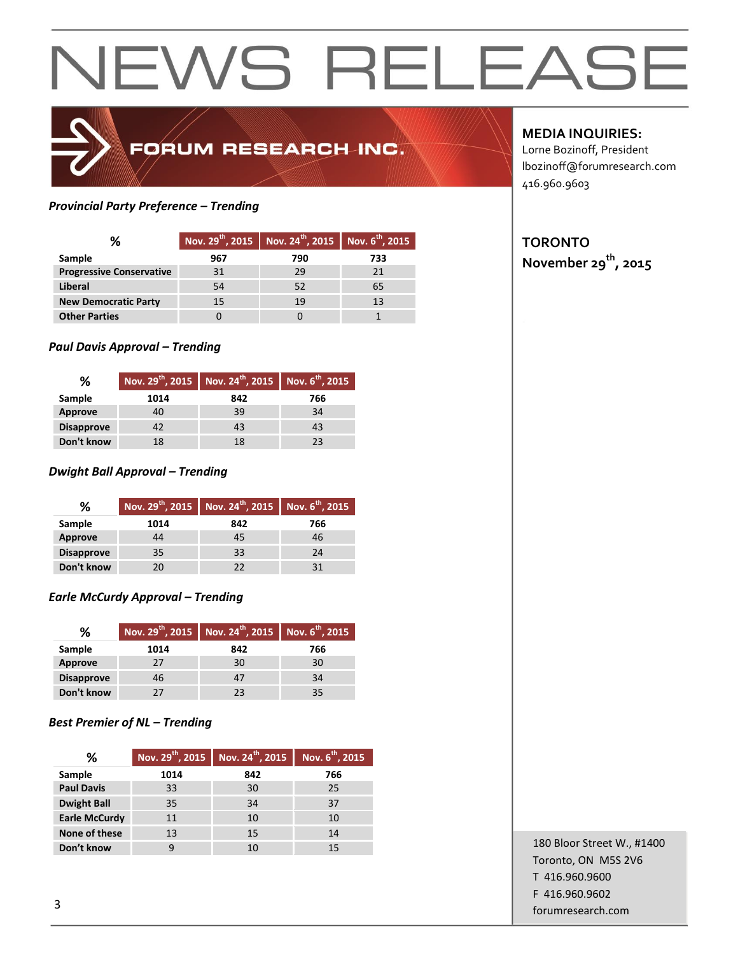## FORUM RESEARCH INC.

#### *Provincial Party Preference – Trending*

| ℅                               |     | Nov. $29^{th}$ , 2015   Nov. $24^{th}$ , 2015   Nov. $6^{th}$ , 2015 |     |
|---------------------------------|-----|----------------------------------------------------------------------|-----|
| Sample                          | 967 | 790                                                                  | 733 |
| <b>Progressive Conservative</b> | 31  | 29                                                                   |     |
| Liberal                         | 54  | 52                                                                   | 65  |
| <b>New Democratic Party</b>     | 15  | 19                                                                   | 13  |
| <b>Other Parties</b>            |     |                                                                      |     |

#### *Paul Davis Approval – Trending*

| ℅                 |      | Nov. 29 <sup>th</sup> , 2015 Nov. 24 <sup>th</sup> , 2015 Nov. 6 <sup>th</sup> , 2015 |     |  |  |
|-------------------|------|---------------------------------------------------------------------------------------|-----|--|--|
| Sample            | 1014 | 842                                                                                   | 766 |  |  |
| Approve           | 40   | 39                                                                                    | 34  |  |  |
| <b>Disapprove</b> | 42   | 43                                                                                    | 43  |  |  |
| Don't know        | 18   | 18                                                                                    | つっ  |  |  |

#### *Dwight Ball Approval – Trending*

| ℅                 |      | Nov. 29 <sup>th</sup> , 2015 Nov. 24 <sup>th</sup> , 2015 Nov. 6 <sup>th</sup> , 2015 |     |
|-------------------|------|---------------------------------------------------------------------------------------|-----|
| Sample            | 1014 | 842                                                                                   | 766 |
| Approve           | 44   | 45                                                                                    | 46  |
| <b>Disapprove</b> | 35   | 33                                                                                    | 24  |
| Don't know        | 20   | 22                                                                                    |     |

#### *Earle McCurdy Approval – Trending*

| ℅                 |      | Nov. 29 <sup>th</sup> , 2015 Nov. 24 <sup>th</sup> , 2015 Nov. 6 <sup>th</sup> , 2015 |     |
|-------------------|------|---------------------------------------------------------------------------------------|-----|
| Sample            | 1014 | 842                                                                                   | 766 |
| <b>Approve</b>    | 27   | 30                                                                                    | 30  |
| <b>Disapprove</b> | 46   | 47                                                                                    | 34  |
| Don't know        | 27   | 23                                                                                    | 35  |

#### *Best Premier of NL – Trending*

| ℅                    | Nov. $29^{th}$ , 2015 | Nov. 24 <sup>th</sup> , 2015 | Nov. 6 <sup>th</sup> , 2015 |
|----------------------|-----------------------|------------------------------|-----------------------------|
| Sample               | 1014                  | 842                          | 766                         |
| <b>Paul Davis</b>    | 33                    | 30                           | 25                          |
| <b>Dwight Ball</b>   | 35                    | 34                           | 37                          |
| <b>Earle McCurdy</b> | 11                    | 10                           | 10                          |
| None of these        | 13                    | 15                           | 14                          |
| Don't know           |                       | 10                           | 15                          |

#### **MEDIA INQUIRIES:**

Lorne Bozinoff, President lbozinoff@forumresearch.com 416.960.9603

#### **TORONTO**

**November 29th, 2015**

180 Bloor Street W., #1400 Toronto, ON M5S 2V6 T 416.960.9600 F 416.960.9602 forumresearch.com and the set of the set of the set of the set of the set of the set of the set of the set of the set of the set of the set of the set of the set of the set of the set of the set of the set of the set of th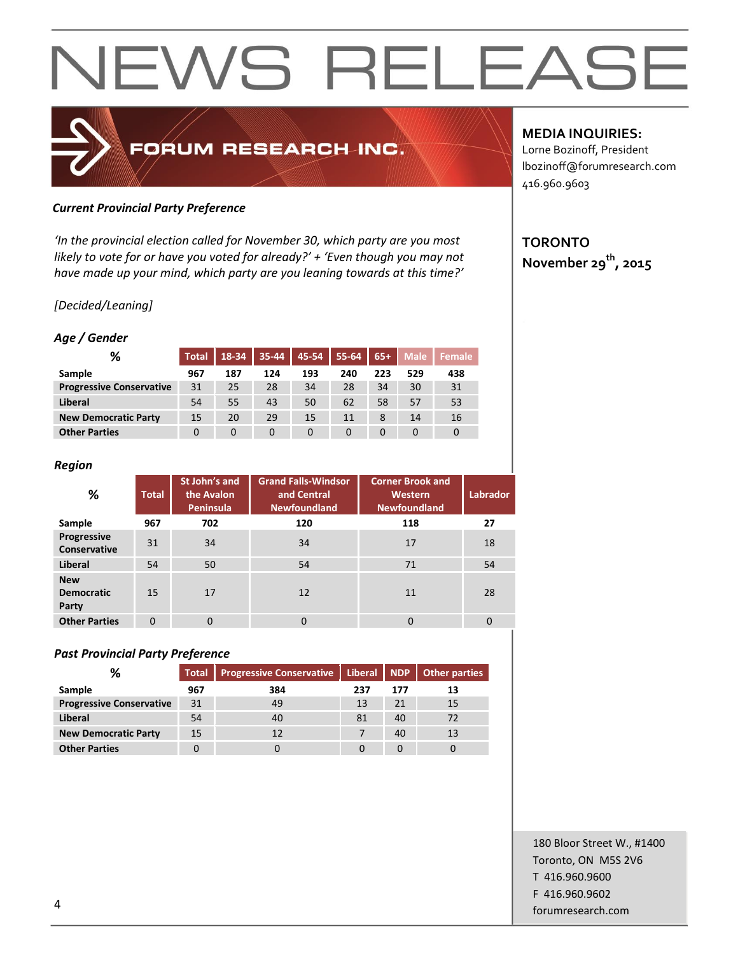

#### *Current Provincial Party Preference*

*'In the provincial election called for November 30, which party are you most likely to vote for or have you voted for already?' + 'Even though you may not have made up your mind, which party are you leaning towards at this time?'*

#### *[Decided/Leaning]*

#### *Age / Gender*

| %                               | <b>Total</b> | 18-34 | 35-44 | 45-54 | 55-64 | $65+$ | <b>Male</b> | Female |
|---------------------------------|--------------|-------|-------|-------|-------|-------|-------------|--------|
| Sample                          | 967          | 187   | 124   | 193   | 240   | 223   | 529         | 438    |
| <b>Progressive Conservative</b> | 31           | 25    | 28    | 34    | 28    | 34    | 30          | 31     |
| Liberal                         | 54           | 55    | 43    | 50    | 62    | 58    | 57          | 53     |
| <b>New Democratic Party</b>     | 15           | 20    | 29    | 15    | 11    | 8     | 14          | 16     |
| <b>Other Parties</b>            | 0            | 0     | 0     | 0     | 0     | 0     | 0           | 0      |

#### *Region*

| %                                        | <b>Total</b> | St John's and<br>the Avalon<br>Peninsula | <b>Grand Falls-Windsor</b><br>and Central<br><b>Newfoundland</b> | <b>Corner Brook and</b><br>Western<br><b>Newfoundland</b> | <b>Labrador</b> |
|------------------------------------------|--------------|------------------------------------------|------------------------------------------------------------------|-----------------------------------------------------------|-----------------|
| Sample                                   | 967          | 702                                      | 120                                                              | 118                                                       | 27              |
| Progressive<br>Conservative              | 31           | 34                                       | 34                                                               | 17                                                        | 18              |
| <b>Liberal</b>                           | 54           | 50                                       | 54                                                               | 71                                                        | 54              |
| <b>New</b><br><b>Democratic</b><br>Party | 15           | 17                                       | 12                                                               | 11                                                        | 28              |
| <b>Other Parties</b>                     | $\Omega$     | $\mathbf 0$                              | 0                                                                | $\Omega$                                                  | $\overline{0}$  |

#### *Past Provincial Party Preference*

| %                               | <b>Total</b> | <b>Progressive Conservative</b> |     |     | Liberal   NDP   Other parties |
|---------------------------------|--------------|---------------------------------|-----|-----|-------------------------------|
| Sample                          | 967          | 384                             | 237 | 177 | 13                            |
| <b>Progressive Conservative</b> | 31           | 49                              | 13  | 21  | 15                            |
| Liberal                         | 54           | 40                              | 81  | 40  | 72                            |
| <b>New Democratic Party</b>     | 15           | 12                              |     | 40  | 13                            |
| <b>Other Parties</b>            |              |                                 |     |     |                               |

#### **MEDIA INQUIRIES:**

Lorne Bozinoff, President lbozinoff@forumresearch.com 416.960.9603

### **TORONTO November 29th, 2015**

180 Bloor Street W., #1400 Toronto, ON M5S 2V6 T 416.960.9600 F 416.960.9602 example to the contract of the contract of the contract of the contract of the contract of the contract of the contract of the contract of the contract of the contract of the contract of the contract of the contract of the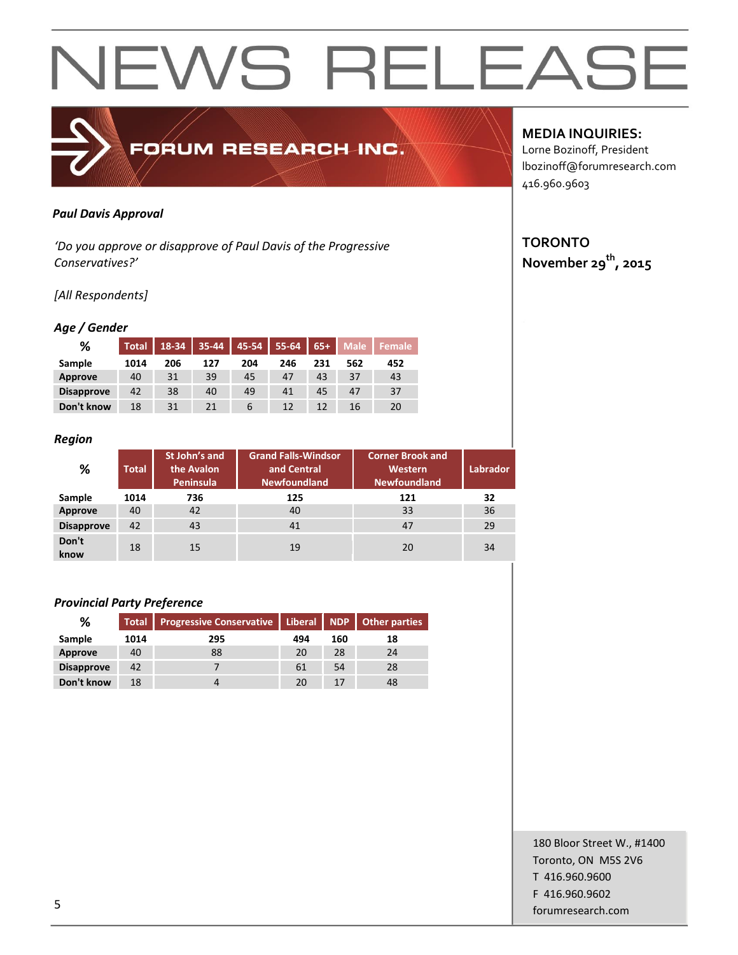#### *Paul Davis Approval*

*'Do you approve or disapprove of Paul Davis of the Progressive Conservatives?'*

FORUM RESEARCH INC.

#### *[All Respondents]*

#### *Age / Gender*

| %                 | <b>Total</b> | 18-34 | 35-44 | 45-54 | 55-64 | $65+$ | <b>Male</b> | Female |
|-------------------|--------------|-------|-------|-------|-------|-------|-------------|--------|
| Sample            | 1014         | 206   | 127   | 204   | 246   | 231   | 562         | 452    |
| <b>Approve</b>    | 40           | 31    | 39    | 45    | 47    | 43    | 37          | 43     |
| <b>Disapprove</b> | 42           | 38    | 40    | 49    | 41    | 45    | 47          | 37     |
| Don't know        | 18           | 31    | 21    | 6     | 12    | 12    | 16          | 20     |

#### *Region*

| %                 | <b>Total</b> | St John's and<br>the Avalon<br>Peninsula | <b>Grand Falls-Windsor</b><br>and Central<br><b>Newfoundland</b> | <b>Corner Brook and</b><br>Western<br><b>Newfoundland</b> | Labrador |
|-------------------|--------------|------------------------------------------|------------------------------------------------------------------|-----------------------------------------------------------|----------|
| Sample            | 1014         | 736                                      | 125                                                              | 121                                                       | 32       |
| Approve           | 40           | 42                                       | 40                                                               | 33                                                        | 36       |
| <b>Disapprove</b> | 42           | 43                                       | 41                                                               | 47                                                        | 29       |
| Don't<br>know     | 18           | 15                                       | 19                                                               | 20                                                        | 34       |

#### *Provincial Party Preference*

| %                 | <b>Total</b> | Progressive Conservative   Liberal   NDP   Other parties |     |     |    |
|-------------------|--------------|----------------------------------------------------------|-----|-----|----|
| Sample            | 1014         | 295                                                      | 494 | 160 | 18 |
| Approve           | 40           | 88                                                       | 20  | 28  | 24 |
| <b>Disapprove</b> | 42           |                                                          | 61  | 54  | 28 |
| Don't know        | 18           |                                                          | 20  | 17  | 48 |

#### **MEDIA INQUIRIES:**

Lorne Bozinoff, President lbozinoff@forumresearch.com 416.960.9603

### **TORONTO**

**November 29th, 2015**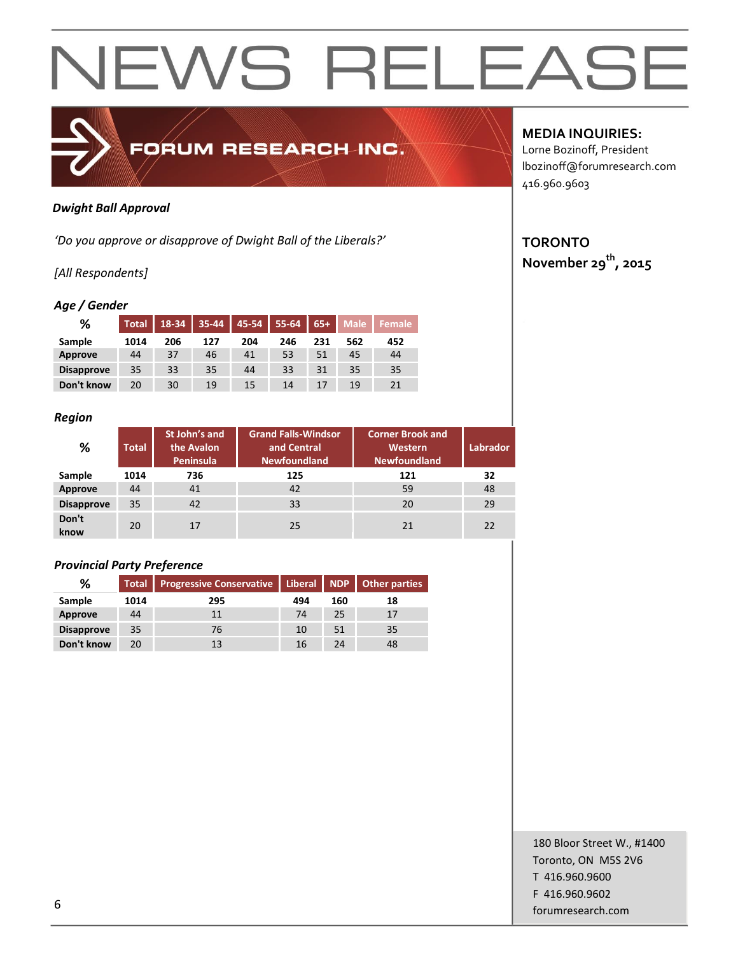

#### *Dwight Ball Approval*

*'Do you approve or disapprove of Dwight Ball of the Liberals?'*

#### *[All Respondents]*

#### *Age / Gender*

| %                 | <b>Total</b> | 18-34 | 35-44 | 45-54 | 55-64 | $65+$ | <b>Male</b> | <b>Female</b> |
|-------------------|--------------|-------|-------|-------|-------|-------|-------------|---------------|
| Sample            | 1014         | 206   | 127   | 204   | 246   | 231   | 562         | 452           |
| Approve           | 44           | 37    | 46    | 41    | 53    | 51    | 45          | 44            |
| <b>Disapprove</b> | 35           | 33    | 35    | 44    | 33    | 31    | 35          | 35            |
| Don't know        | 20           | 30    | 19    | 15    | 14    | 17    | 19          | 21            |

#### *Region*

| %                 | <b>Total</b> | St John's and<br>the Avalon<br>Peninsula | <b>Grand Falls-Windsor</b><br>and Central<br><b>Newfoundland</b> | <b>Corner Brook and</b><br>Western<br><b>Newfoundland</b> | Labrador |
|-------------------|--------------|------------------------------------------|------------------------------------------------------------------|-----------------------------------------------------------|----------|
| Sample            | 1014         | 736                                      | 125                                                              | 121                                                       | 32       |
| Approve           | 44           | 41                                       | 42                                                               | 59                                                        | 48       |
| <b>Disapprove</b> | 35           | 42                                       | 33                                                               | 20                                                        | 29       |
| Don't<br>know     | 20           | 17                                       | 25                                                               | 21                                                        | 22       |

#### *Provincial Party Preference*

| %                 | <b>Total</b> | <b>Progressive Conservative   Liberal   NDP   Other parties</b> |     |     |    |
|-------------------|--------------|-----------------------------------------------------------------|-----|-----|----|
| Sample            | 1014         | 295                                                             | 494 | 160 | 18 |
| Approve           | 44           | 11                                                              | 74  | 25  | 17 |
| <b>Disapprove</b> | 35           | 76                                                              | 10  | 51  | 35 |
| Don't know        | 20           | 13                                                              | 16  | 24  | 48 |

#### **MEDIA INQUIRIES:**

Lorne Bozinoff, President lbozinoff@forumresearch.com 416.960.9603

### **TORONTO**

**November 29th, 2015**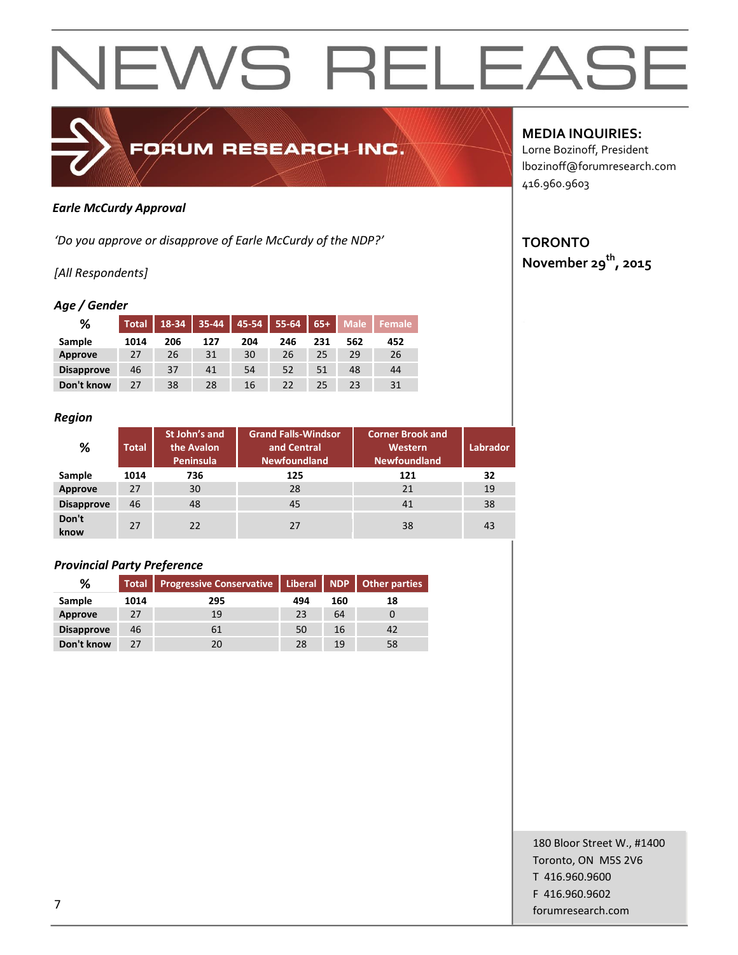

#### *Earle McCurdy Approval*

*'Do you approve or disapprove of Earle McCurdy of the NDP?'*

#### *[All Respondents]*

#### *Age / Gender*

| %                 | <b>Total</b> | 18-34 | 35-44 | 45-54 | 55-64 | $65+$ | <b>Male</b> | Female |
|-------------------|--------------|-------|-------|-------|-------|-------|-------------|--------|
| Sample            | 1014         | 206   | 127   | 204   | 246   | 231   | 562         | 452    |
| Approve           | 27           | 26    | 31    | 30    | 26    | 25    | 29          | 26     |
| <b>Disapprove</b> | 46           | 37    | 41    | 54    | 52    | 51    | 48          | 44     |
| Don't know        | 27           | 38    | 28    | 16    | 22    |       | 23          | 31     |

#### *Region*

| -<br>%            | <b>Total</b> | St John's and<br>the Avalon<br>Peninsula | <b>Grand Falls-Windsor</b><br><b>Corner Brook and</b><br>and Central<br>Western<br><b>Newfoundland</b><br><b>Newfoundland</b> |     | <b>Labrador</b> |
|-------------------|--------------|------------------------------------------|-------------------------------------------------------------------------------------------------------------------------------|-----|-----------------|
| Sample            | 1014         | 736                                      | 125                                                                                                                           | 121 | 32              |
| Approve           | 27           | 30                                       | 28                                                                                                                            | 21  | 19              |
| <b>Disapprove</b> | 46           | 48                                       | 45                                                                                                                            | 41  | 38              |
| Don't<br>know     | 27           | 22                                       | 27                                                                                                                            | 38  | 43              |

#### *Provincial Party Preference*

| %                 |      | Total Progressive Conservative   Liberal   NDP   Other parties |     |     |    |
|-------------------|------|----------------------------------------------------------------|-----|-----|----|
| Sample            | 1014 | 295                                                            | 494 | 160 | 18 |
| Approve           | 27   | 19                                                             | 23  | 64  |    |
| <b>Disapprove</b> | 46   | 61                                                             | 50  | 16  | 42 |
| Don't know        | 27   | 20                                                             | 28  | 19  | 58 |

#### **MEDIA INQUIRIES:**

Lorne Bozinoff, President lbozinoff@forumresearch.com 416.960.9603

### **TORONTO**

**November 29th, 2015**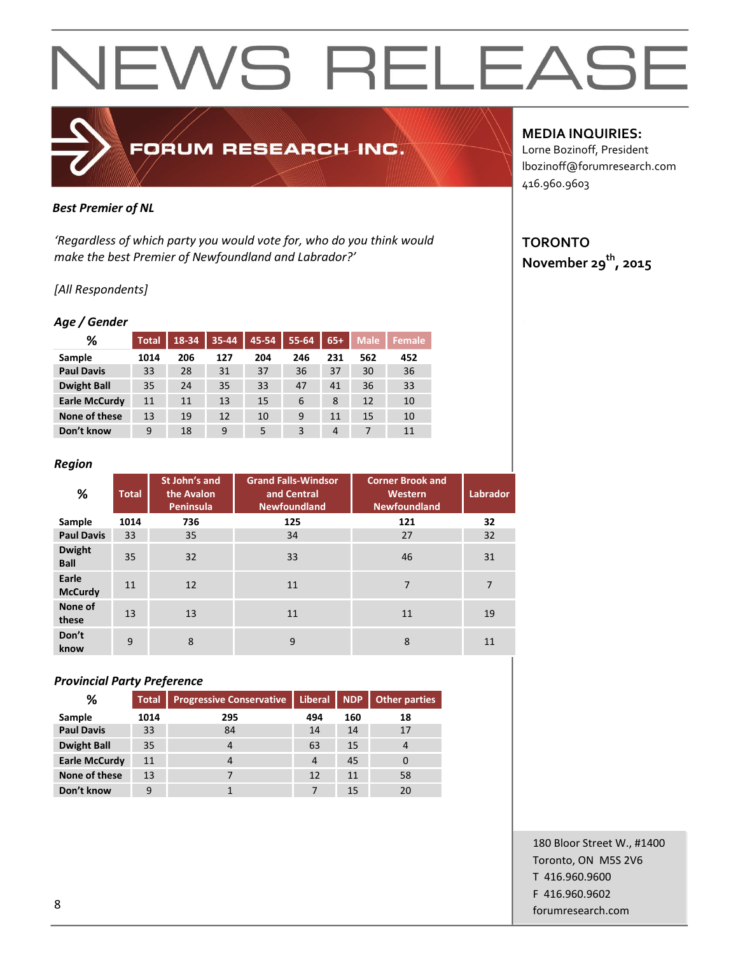

#### *Best Premier of NL*

*'Regardless of which party you would vote for, who do you think would make the best Premier of Newfoundland and Labrador?'*

#### *[All Respondents]*

#### *Age / Gender*

| ℅                    | <b>Total</b> | 18-34 | 35-44 | 45-54 | $55 - 64$ | $65+$ | <b>Male</b> | <b>Female</b> |
|----------------------|--------------|-------|-------|-------|-----------|-------|-------------|---------------|
| Sample               | 1014         | 206   | 127   | 204   | 246       | 231   | 562         | 452           |
| <b>Paul Davis</b>    | 33           | 28    | 31    | 37    | 36        | 37    | 30          | 36            |
| <b>Dwight Ball</b>   | 35           | 24    | 35    | 33    | 47        | 41    | 36          | 33            |
| <b>Earle McCurdy</b> | 11           | 11    | 13    | 15    | 6         | 8     | 12          | 10            |
| None of these        | 13           | 19    | 12    | 10    | 9         | 11    | 15          | 10            |
| Don't know           | 9            | 18    | 9     | 5     | 3         | 4     |             | 11            |

#### *Region*

| ℅                            | <b>Total</b> | St John's and<br>the Avalon<br>Peninsula | <b>Grand Falls-Windsor</b><br>and Central<br><b>Newfoundland</b> | <b>Corner Brook and</b><br>Western<br>Newfoundland | <b>Labrador</b> |
|------------------------------|--------------|------------------------------------------|------------------------------------------------------------------|----------------------------------------------------|-----------------|
| Sample                       | 1014         | 736                                      | 125                                                              | 121                                                | 32              |
| <b>Paul Davis</b>            | 33           | 35                                       | 34                                                               | 27                                                 | 32              |
| <b>Dwight</b><br><b>Ball</b> | 35           | 32                                       | 33                                                               | 46                                                 | 31              |
| Earle<br><b>McCurdy</b>      | 11           | 12                                       | 11                                                               | 7                                                  | $\overline{7}$  |
| None of<br>these             | 13           | 13                                       | 11<br>11                                                         |                                                    | 19              |
| Don't<br>know                | 9            | 8                                        | 9                                                                | 8                                                  | 11              |

#### *Provincial Party Preference*

| ℅                    | <b>Total</b> | <b>Progressive Conservative</b> | Liberal   NDP |     | Other parties  |
|----------------------|--------------|---------------------------------|---------------|-----|----------------|
| Sample               | 1014         | 295                             | 494           | 160 | 18             |
| <b>Paul Davis</b>    | 33           | 84                              | 14            | 14  | 17             |
| <b>Dwight Ball</b>   | 35           | 4                               | 63            | 15  | $\overline{4}$ |
| <b>Earle McCurdy</b> | 11           |                                 | 4             | 45  |                |
| None of these        | 13           |                                 | 12            | 11  | 58             |
| Don't know           | 9            |                                 |               | 15  | 20             |

#### **MEDIA INQUIRIES:**

Lorne Bozinoff, President lbozinoff@forumresearch.com 416.960.9603

### **TORONTO**

**November 29th, 2015**

180 Bloor Street W., #1400 Toronto, ON M5S 2V6 T 416.960.9600 F 416.960.9602 end to the state of the state of the state of the state of the state of the state of the state of the state of the state of the state of the state of the state of the state of the state of the state of the state of the sta